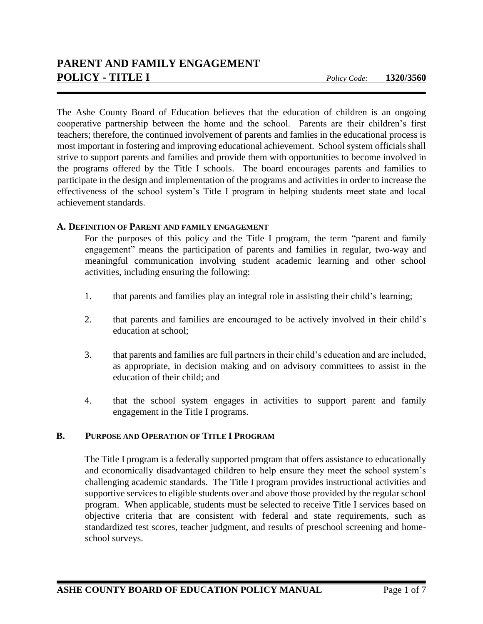The Ashe County Board of Education believes that the education of children is an ongoing cooperative partnership between the home and the school. Parents are their children's first teachers; therefore, the continued involvement of parents and famlies in the educational process is most important in fostering and improving educational achievement. School system officials shall strive to support parents and families and provide them with opportunities to become involved in the programs offered by the Title I schools. The board encourages parents and families to participate in the design and implementation of the programs and activities in order to increase the effectiveness of the school system's Title I program in helping students meet state and local achievement standards.

### **A. DEFINITION OF PARENT AND FAMILY ENGAGEMENT**

For the purposes of this policy and the Title I program, the term "parent and family engagement" means the participation of parents and families in regular, two-way and meaningful communication involving student academic learning and other school activities, including ensuring the following:

- 1. that parents and families play an integral role in assisting their child's learning;
- 2. that parents and families are encouraged to be actively involved in their child's education at school;
- 3. that parents and families are full partners in their child's education and are included, as appropriate, in decision making and on advisory committees to assist in the education of their child; and
- 4. that the school system engages in activities to support parent and family engagement in the Title I programs.

# **B. PURPOSE AND OPERATION OF TITLE I PROGRAM**

The Title I program is a federally supported program that offers assistance to educationally and economically disadvantaged children to help ensure they meet the school system's challenging academic standards. The Title I program provides instructional activities and supportive services to eligible students over and above those provided by the regular school program. When applicable, students must be selected to receive Title I services based on objective criteria that are consistent with federal and state requirements, such as standardized test scores, teacher judgment, and results of preschool screening and homeschool surveys.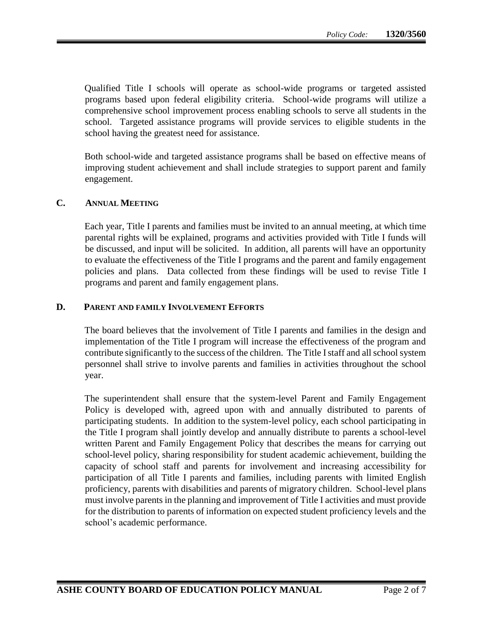Qualified Title I schools will operate as school-wide programs or targeted assisted programs based upon federal eligibility criteria. School-wide programs will utilize a comprehensive school improvement process enabling schools to serve all students in the school. Targeted assistance programs will provide services to eligible students in the school having the greatest need for assistance.

Both school-wide and targeted assistance programs shall be based on effective means of improving student achievement and shall include strategies to support parent and family engagement.

#### **C. ANNUAL MEETING**

Each year, Title I parents and families must be invited to an annual meeting, at which time parental rights will be explained, programs and activities provided with Title I funds will be discussed, and input will be solicited. In addition, all parents will have an opportunity to evaluate the effectiveness of the Title I programs and the parent and family engagement policies and plans. Data collected from these findings will be used to revise Title I programs and parent and family engagement plans.

### **D. PARENT AND FAMILY INVOLVEMENT EFFORTS**

The board believes that the involvement of Title I parents and families in the design and implementation of the Title I program will increase the effectiveness of the program and contribute significantly to the success of the children. The Title I staff and all school system personnel shall strive to involve parents and families in activities throughout the school year.

The superintendent shall ensure that the system-level Parent and Family Engagement Policy is developed with, agreed upon with and annually distributed to parents of participating students. In addition to the system-level policy, each school participating in the Title I program shall jointly develop and annually distribute to parents a school-level written Parent and Family Engagement Policy that describes the means for carrying out school-level policy, sharing responsibility for student academic achievement, building the capacity of school staff and parents for involvement and increasing accessibility for participation of all Title I parents and families, including parents with limited English proficiency, parents with disabilities and parents of migratory children. School-level plans must involve parents in the planning and improvement of Title I activities and must provide for the distribution to parents of information on expected student proficiency levels and the school's academic performance.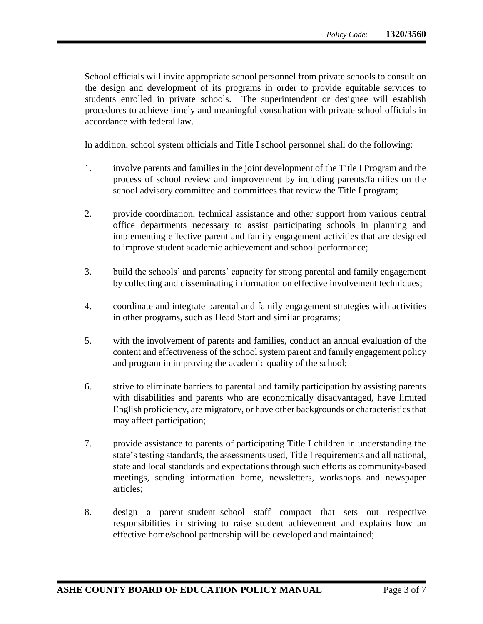School officials will invite appropriate school personnel from private schools to consult on the design and development of its programs in order to provide equitable services to students enrolled in private schools. The superintendent or designee will establish procedures to achieve timely and meaningful consultation with private school officials in accordance with federal law.

In addition, school system officials and Title I school personnel shall do the following:

- 1. involve parents and families in the joint development of the Title I Program and the process of school review and improvement by including parents/families on the school advisory committee and committees that review the Title I program;
- 2. provide coordination, technical assistance and other support from various central office departments necessary to assist participating schools in planning and implementing effective parent and family engagement activities that are designed to improve student academic achievement and school performance;
- 3. build the schools' and parents' capacity for strong parental and family engagement by collecting and disseminating information on effective involvement techniques;
- 4. coordinate and integrate parental and family engagement strategies with activities in other programs, such as Head Start and similar programs;
- 5. with the involvement of parents and families, conduct an annual evaluation of the content and effectiveness of the school system parent and family engagement policy and program in improving the academic quality of the school;
- 6. strive to eliminate barriers to parental and family participation by assisting parents with disabilities and parents who are economically disadvantaged, have limited English proficiency, are migratory, or have other backgrounds or characteristics that may affect participation;
- 7. provide assistance to parents of participating Title I children in understanding the state's testing standards, the assessments used, Title I requirements and all national, state and local standards and expectations through such efforts as community-based meetings, sending information home, newsletters, workshops and newspaper articles;
- 8. design a parent–student–school staff compact that sets out respective responsibilities in striving to raise student achievement and explains how an effective home/school partnership will be developed and maintained;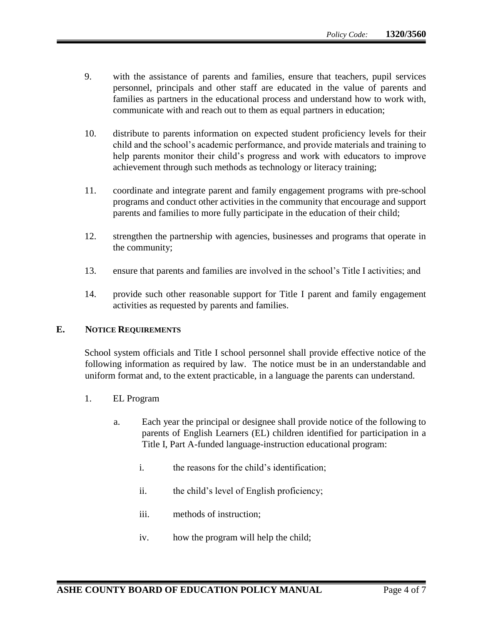- 9. with the assistance of parents and families, ensure that teachers, pupil services personnel, principals and other staff are educated in the value of parents and families as partners in the educational process and understand how to work with, communicate with and reach out to them as equal partners in education;
- 10. distribute to parents information on expected student proficiency levels for their child and the school's academic performance, and provide materials and training to help parents monitor their child's progress and work with educators to improve achievement through such methods as technology or literacy training;
- 11. coordinate and integrate parent and family engagement programs with pre-school programs and conduct other activities in the community that encourage and support parents and families to more fully participate in the education of their child;
- 12. strengthen the partnership with agencies, businesses and programs that operate in the community;
- 13. ensure that parents and families are involved in the school's Title I activities; and
- 14. provide such other reasonable support for Title I parent and family engagement activities as requested by parents and families.

#### **E. NOTICE REQUIREMENTS**

School system officials and Title I school personnel shall provide effective notice of the following information as required by law. The notice must be in an understandable and uniform format and, to the extent practicable, in a language the parents can understand.

- 1. EL Program
	- a. Each year the principal or designee shall provide notice of the following to parents of English Learners (EL) children identified for participation in a Title I, Part A-funded language-instruction educational program:
		- i. the reasons for the child's identification;
		- ii. the child's level of English proficiency;
		- iii. methods of instruction;
		- iv. how the program will help the child;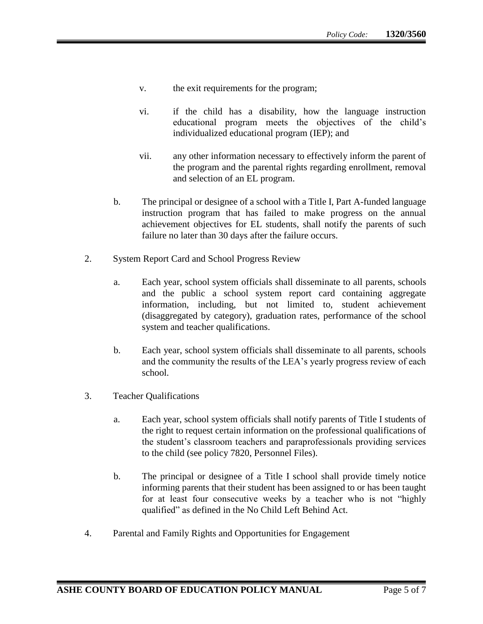- v. the exit requirements for the program;
- vi. if the child has a disability, how the language instruction educational program meets the objectives of the child's individualized educational program (IEP); and
- vii. any other information necessary to effectively inform the parent of the program and the parental rights regarding enrollment, removal and selection of an EL program.
- b. The principal or designee of a school with a Title I, Part A-funded language instruction program that has failed to make progress on the annual achievement objectives for EL students, shall notify the parents of such failure no later than 30 days after the failure occurs.
- 2. System Report Card and School Progress Review
	- a. Each year, school system officials shall disseminate to all parents, schools and the public a school system report card containing aggregate information, including, but not limited to, student achievement (disaggregated by category), graduation rates, performance of the school system and teacher qualifications.
	- b. Each year, school system officials shall disseminate to all parents, schools and the community the results of the LEA's yearly progress review of each school.
- 3. Teacher Qualifications
	- a. Each year, school system officials shall notify parents of Title I students of the right to request certain information on the professional qualifications of the student's classroom teachers and paraprofessionals providing services to the child (see policy 7820, Personnel Files).
	- b. The principal or designee of a Title I school shall provide timely notice informing parents that their student has been assigned to or has been taught for at least four consecutive weeks by a teacher who is not "highly qualified" as defined in the No Child Left Behind Act.
- 4. Parental and Family Rights and Opportunities for Engagement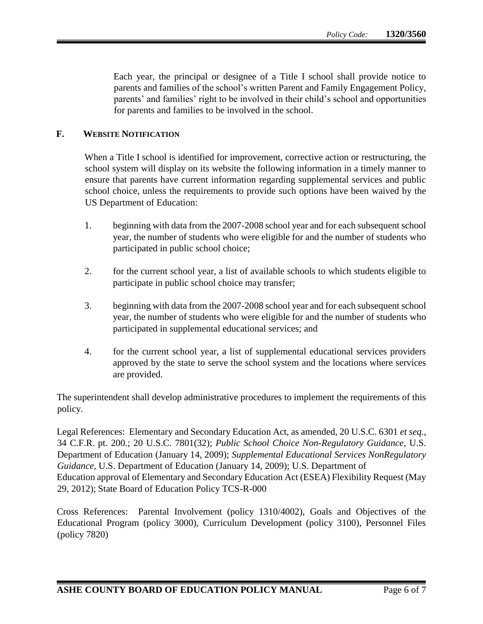Each year, the principal or designee of a Title I school shall provide notice to parents and families of the school's written Parent and Family Engagement Policy, parents' and families' right to be involved in their child's school and opportunities for parents and families to be involved in the school.

## **F. WEBSITE NOTIFICATION**

When a Title I school is identified for improvement, corrective action or restructuring, the school system will display on its website the following information in a timely manner to ensure that parents have current information regarding supplemental services and public school choice, unless the requirements to provide such options have been waived by the US Department of Education:

- 1. beginning with data from the 2007-2008 school year and for each subsequent school year, the number of students who were eligible for and the number of students who participated in public school choice;
- 2. for the current school year, a list of available schools to which students eligible to participate in public school choice may transfer;
- 3. beginning with data from the 2007-2008 school year and for each subsequent school year, the number of students who were eligible for and the number of students who participated in supplemental educational services; and
- 4. for the current school year, a list of supplemental educational services providers approved by the state to serve the school system and the locations where services are provided.

The superintendent shall develop administrative procedures to implement the requirements of this policy.

Legal References: Elementary and Secondary Education Act, as amended, 20 U.S.C. 6301 *et seq.*, 34 C.F.R. pt. 200*.*; 20 U.S.C. 7801(32); *Public School Choice Non-Regulatory Guidance*, U.S. Department of Education (January 14, 2009); *Supplemental Educational Services NonRegulatory Guidance*, U.S. Department of Education (January 14, 2009); U.S. Department of Education approval of Elementary and Secondary Education Act (ESEA) Flexibility Request (May 29, 2012); State Board of Education Policy TCS-R-000

Cross References: Parental Involvement (policy 1310/4002), Goals and Objectives of the Educational Program (policy 3000), Curriculum Development (policy 3100), Personnel Files (policy 7820)